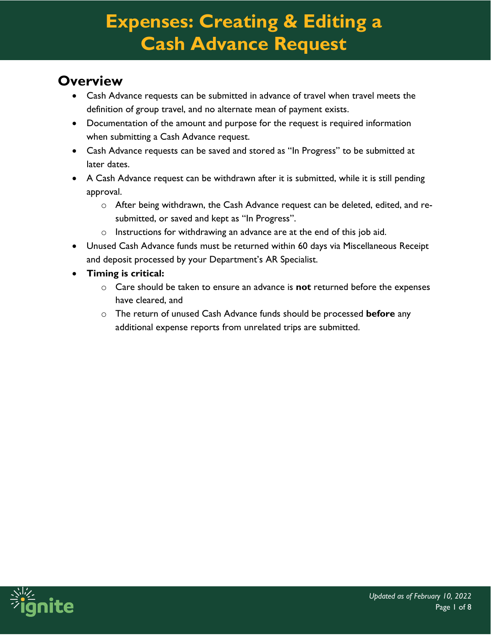### **Overview**

- Cash Advance requests can be submitted in advance of travel when travel meets the definition of group travel, and no alternate mean of payment exists.
- Documentation of the amount and purpose for the request is required information when submitting a Cash Advance request.
- Cash Advance requests can be saved and stored as "In Progress" to be submitted at later dates.
- A Cash Advance request can be withdrawn after it is submitted, while it is still pending approval.
	- o After being withdrawn, the Cash Advance request can be deleted, edited, and resubmitted, or saved and kept as "In Progress".
	- o Instructions for withdrawing an advance are at the end of this job aid.
- Unused Cash Advance funds must be returned within 60 days via Miscellaneous Receipt and deposit processed by your Department's AR Specialist.
- **Timing is critical:** 
	- o Care should be taken to ensure an advance is **not** returned before the expenses have cleared, and
	- o The return of unused Cash Advance funds should be processed **before** any additional expense reports from unrelated trips are submitted.

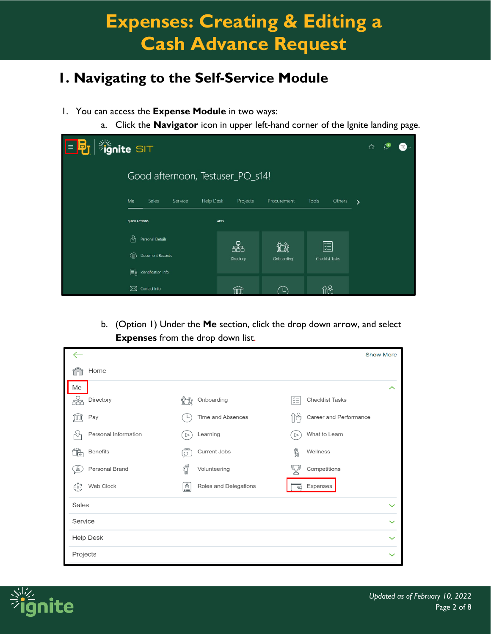### **1. Navigating to the Self-Service Module**

- 1. You can access the **Expense Module** in two ways:
	- a. Click the **Navigator** icon in upper left-hand corner of the Ignite landing page.

| <b>Signite</b> SIT<br>目記 |                                            |                |                  |                        |               |  |
|--------------------------|--------------------------------------------|----------------|------------------|------------------------|---------------|--|
|                          | Good afternoon, Testuser_PO_s14!           |                |                  |                        |               |  |
|                          | Me<br>Sales<br>Service<br><b>Help Desk</b> | Projects       | Procurement      | <b>Tools</b><br>Others | $\rightarrow$ |  |
|                          | <b>QUICK ACTIONS</b>                       | <b>APPS</b>    |                  |                        |               |  |
|                          | b,<br>Personal Details                     |                |                  |                        |               |  |
|                          | Document Records<br>⊕                      | 品<br>Directory | ĩî<br>Onboarding | 距<br>Checklist Tasks   |               |  |
|                          | ER<br>Identification Info                  |                |                  |                        |               |  |
|                          | ⊠<br>Contact Info                          |                |                  | ብራ                     |               |  |

b. (Option 1) Under the **Me** section, click the drop down arrow, and select **Expenses** from the drop down list.

|                               |                                     | <b>Show More</b>                  |
|-------------------------------|-------------------------------------|-----------------------------------|
| Home                          |                                     |                                   |
| Me                            |                                     | ᄉ                                 |
| Directory                     | Onboarding                          | ķΞ<br><b>Checklist Tasks</b>      |
| Pay<br>TUTUT                  | Time and Absences                   | Career and Performance<br>فاللجا  |
| Personal Information          | Learning<br>$\triangleright$        | What to Learn<br>$\triangleright$ |
| <b>Benefits</b>               | Current Jobs<br>o                   | ╣<br>Wellness                     |
| Personal Brand<br>$8^{\circ}$ | $\int_{0}^{\infty}$<br>Volunteering | Competitions                      |
| Web Clock<br>(55)             | ē<br>Roles and Delegations          | Expenses<br>금                     |
| Sales                         |                                     | $\checkmark$                      |
| Service                       |                                     | $\checkmark$                      |
| <b>Help Desk</b>              |                                     | $\checkmark$                      |
| Projects                      |                                     | $\checkmark$                      |

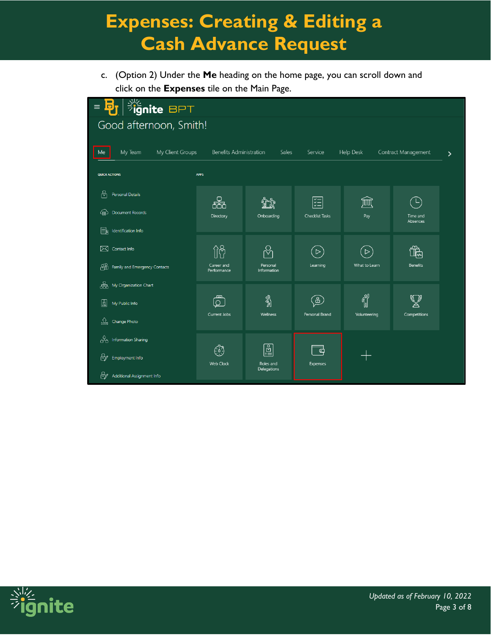c. (Option 2) Under the **Me** heading on the home page, you can scroll down and click on the **Expenses** tile on the Main Page.

| <b>BPT</b><br>$\blacksquare$<br>$\equiv$<br>Đ, |                                |                                                                                              |                      |                  |                      |   |
|------------------------------------------------|--------------------------------|----------------------------------------------------------------------------------------------|----------------------|------------------|----------------------|---|
| Good afternoon, Smith!                         |                                |                                                                                              |                      |                  |                      |   |
|                                                |                                |                                                                                              |                      |                  |                      |   |
| My Client Groups<br>My Team<br>Me              | <b>Benefits Administration</b> | Sales                                                                                        | Service              | <b>Help Desk</b> | Contract Management  | ≻ |
| <b>QUICK ACTIONS</b>                           | <b>APPS</b>                    |                                                                                              |                      |                  |                      |   |
| ဂိ<br>Personal Details                         |                                |                                                                                              |                      |                  | $\mathsf{L}$         |   |
| Document Records<br>⑷                          | 品<br>Directory                 | Onboarding                                                                                   | 這<br>Checklist Tasks | 寙<br>Pay         | Time and<br>Absences |   |
| I≡k<br>Identification Info                     |                                |                                                                                              |                      |                  |                      |   |
| ⊠<br>Contact Info                              | $\hat{\Pi}$                    |                                                                                              | $\triangleright$     | $\triangleright$ | $\mathbb{R}$         |   |
| ₩<br>Family and Emergency Contacts             | Career and<br>Performance      | Personal<br>Information                                                                      | Learning             | What to Learn    | <b>Benefits</b>      |   |
| ඝි<br>My Organization Chart                    |                                |                                                                                              |                      |                  |                      |   |
| ☝<br>My Public Info                            | ௹                              | ৡ                                                                                            | $\mathbb{S}$         | <b>THE</b>       |                      |   |
| ⇭<br>Change Photo                              | Current Jobs                   | Wellness                                                                                     | Personal Brand       | Volunteering     | Competitions         |   |
| ුයු<br><b>Information Sharing</b>              |                                |                                                                                              |                      |                  |                      |   |
| ₩<br>Employment Info                           | ٦<br><b>Web Clock</b>          | $\begin{bmatrix} \underline{\mathbb{R}} \ \underline{\mathbb{R}} \end{bmatrix}$<br>Roles and | ට<br><b>Expenses</b> |                  |                      |   |
| ₩<br>Additional Assignment Info                |                                | Delegations                                                                                  |                      |                  |                      |   |

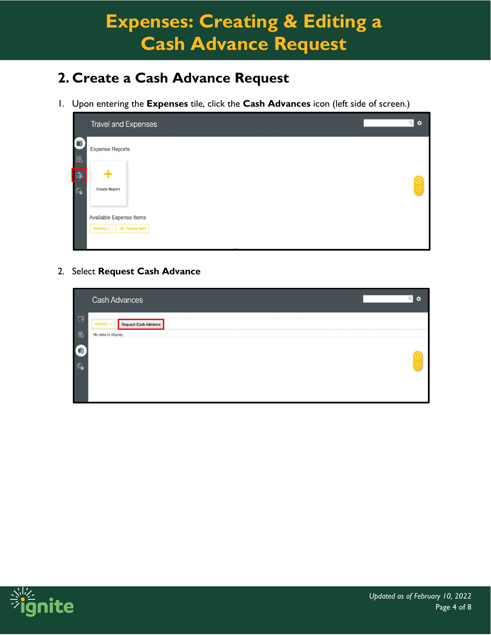### **2. Create a Cash Advance Request**

1. Upon entering the **Expenses** tile, click the **Cash Advances** icon (left side of screen.)

|                                | <b>Travel and Expenses</b>             | $Q$ $\bullet$ |
|--------------------------------|----------------------------------------|---------------|
| $\blacksquare$<br>$\mathbb{B}$ | <b>Expense Reports</b>                 |               |
| G                              |                                        |               |
| $\mathbb{Q}$                   | <b>Create Report</b>                   | $\frac{1}{2}$ |
|                                |                                        |               |
|                                | Available Expense Items                |               |
|                                | Actions $\smallsmile$<br>+ Create Item |               |
|                                |                                        |               |

2. Select **Request Cash Advance**

|                       | <b>Cash Advances</b>                          | $Q$ $\rightarrow$                           |
|-----------------------|-----------------------------------------------|---------------------------------------------|
| $\Box$                | Actions $\smallsmile$<br>Request Cash Advance |                                             |
| $\text{R}$            | No data to display.                           |                                             |
| ā                     |                                               |                                             |
| $\mathbb{Q}_\text{d}$ |                                               | $\begin{pmatrix} 0 \\ \vdots \end{pmatrix}$ |
|                       |                                               |                                             |
|                       |                                               |                                             |

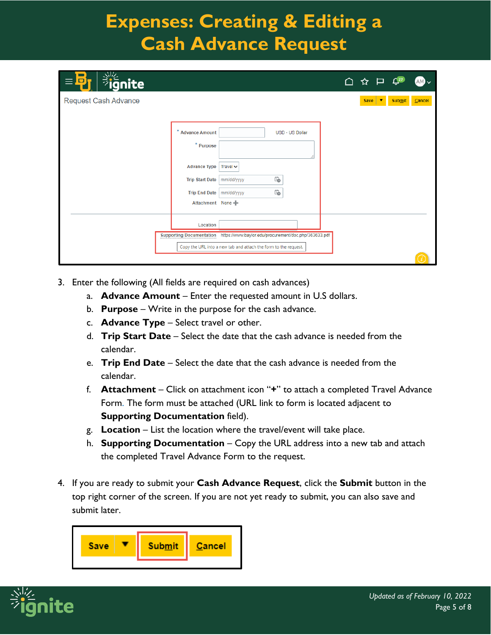| <b>Big</b> nite<br>Б<br>$\equiv$                                               | △ ☆ 戸 |                               | $\mathbb{L}^{27}$ |        |
|--------------------------------------------------------------------------------|-------|-------------------------------|-------------------|--------|
| <b>Request Cash Advance</b>                                                    |       | Save $\overline{\phantom{a}}$ | <b>Submit</b>     | Cancel |
|                                                                                |       |                               |                   |        |
| ×<br><b>Advance Amount</b><br><b>USD - US Dollar</b>                           |       |                               |                   |        |
| $*$ Purpose                                                                    |       |                               |                   |        |
| <b>Advance Type</b><br>Travel $\vee$                                           |       |                               |                   |        |
| Ë<br><b>Trip Start Date</b><br>mm/dd/yyyy                                      |       |                               |                   |        |
| Ë<br>Trip End Date   mm/dd/yyyy                                                |       |                               |                   |        |
| Attachment None                                                                |       |                               |                   |        |
| Location                                                                       |       |                               |                   |        |
| Supporting Documentation https://www.baylor.edu/procurement/doc.php/363633.pdf |       |                               |                   |        |
| Copy the URL into a new tab and attach the form to the request.                |       |                               |                   |        |
|                                                                                |       |                               |                   |        |

- 3. Enter the following (All fields are required on cash advances)
	- a. **Advance Amount** Enter the requested amount in U.S dollars.
	- b. **Purpose** Write in the purpose for the cash advance.
	- c. **Advance Type** Select travel or other.
	- d. **Trip Start Date** Select the date that the cash advance is needed from the calendar.
	- e. **Trip End Date** Select the date that the cash advance is needed from the calendar.
	- f. **Attachment** Click on attachment icon "**+**" to attach a completed Travel Advance Form. The form must be attached (URL link to form is located adjacent to **Supporting Documentation** field).
	- g. **Location** List the location where the travel/event will take place.
	- h. **Supporting Documentation** Copy the URL address into a new tab and attach the completed Travel Advance Form to the request.
- 4. If you are ready to submit your **Cash Advance Request**, click the **Submit** button in the top right corner of the screen. If you are not yet ready to submit, you can also save and submit later.



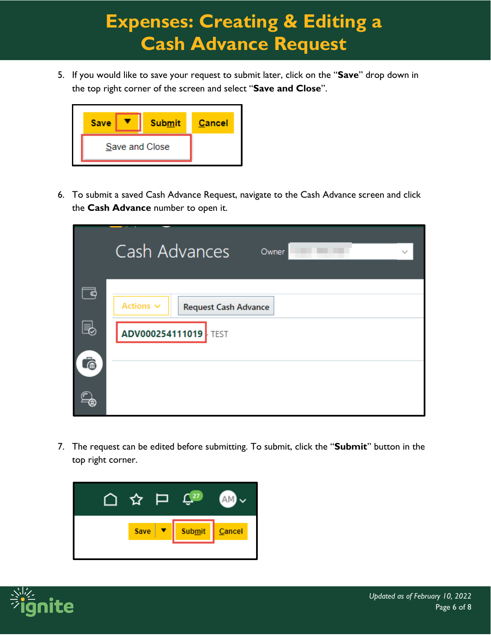5. If you would like to save your request to submit later, click on the "**Save**" drop down in the top right corner of the screen and select "**Save and Close**".



6. To submit a saved Cash Advance Request, navigate to the Cash Advance screen and click the **Cash Advance** number to open it.

|         | Cash Advances<br>Owner<br>$\checkmark$                                       |
|---------|------------------------------------------------------------------------------|
| 로<br>e, | Actions $\sim$<br><b>Request Cash Advance</b><br><b>ADV000254111019</b> TEST |
|         |                                                                              |

7. The request can be edited before submitting. To submit, click the "**Submit**" button in the top right corner.



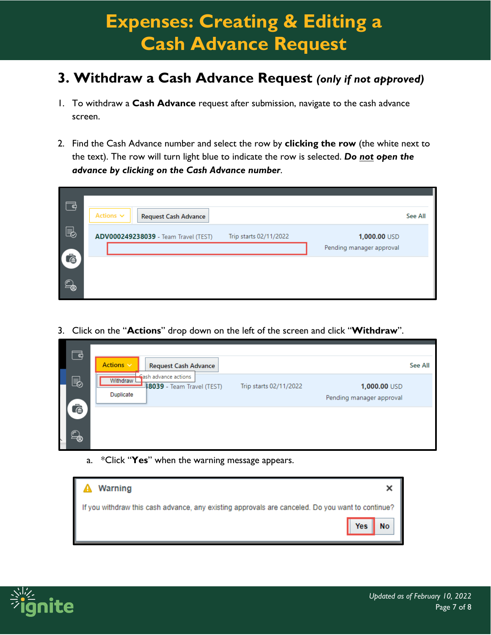#### **3. Withdraw a Cash Advance Request** *(only if not approved)*

- 1. To withdraw a **Cash Advance** request after submission, navigate to the cash advance screen.
- 2. Find the Cash Advance number and select the row by **clicking the row** (the white next to the text). The row will turn light blue to indicate the row is selected. *Do not open the advance by clicking on the Cash Advance number*.

| 국                  | Actions $\vee$<br><b>Request Cash Advance</b>                  | See All                                  |
|--------------------|----------------------------------------------------------------|------------------------------------------|
| $\blacksquare$     | ADV000249238039 - Team Travel (TEST)<br>Trip starts 02/11/2022 | 1,000.00 USD<br>Pending manager approval |
| ā<br>$\odot$<br>一曲 |                                                                |                                          |

3. Click on the "**Actions**" drop down on the left of the screen and click "**Withdraw**".

| 국       | Actions $\vee$<br><b>Request Cash Advance</b>                                       |                        |                                          | See All |
|---------|-------------------------------------------------------------------------------------|------------------------|------------------------------------------|---------|
| e,      | Gash advance actions<br>Withdraw L<br><b>8039</b> - Team Travel (TEST)<br>Duplicate | Trip starts 02/11/2022 | 1,000.00 USD<br>Pending manager approval |         |
| ò<br>一面 |                                                                                     |                        |                                          |         |

a. \*Click "**Yes**" when the warning message appears.

| <b>Warning</b>                                                                                   |                                         |
|--------------------------------------------------------------------------------------------------|-----------------------------------------|
| If you withdraw this cash advance, any existing approvals are canceled. Do you want to continue? |                                         |
|                                                                                                  | $\blacksquare$ No $\blacksquare$<br>Yes |